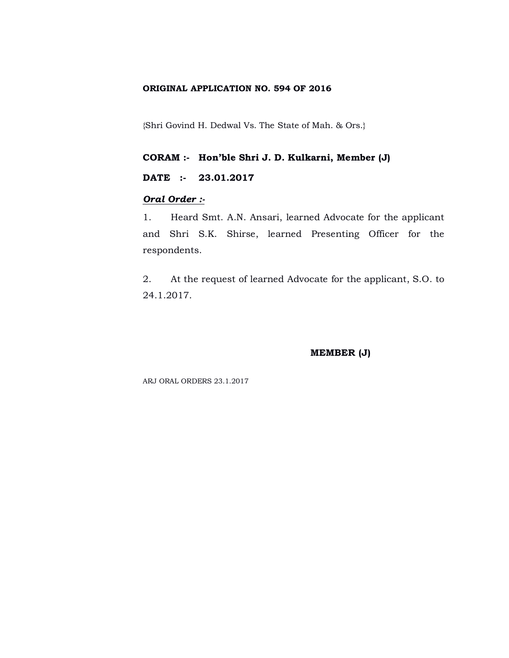### **ORIGINAL APPLICATION NO. 594 OF 2016**

{Shri Govind H. Dedwal Vs. The State of Mah. & Ors.}

**CORAM :- Hon'ble Shri J. D. Kulkarni, Member (J)**

## **DATE :- 23.01.2017**

## *Oral Order :-*

1. Heard Smt. A.N. Ansari, learned Advocate for the applicant and Shri S.K. Shirse, learned Presenting Officer for the respondents.

2. At the request of learned Advocate for the applicant, S.O. to 24.1.2017.

## **MEMBER (J)**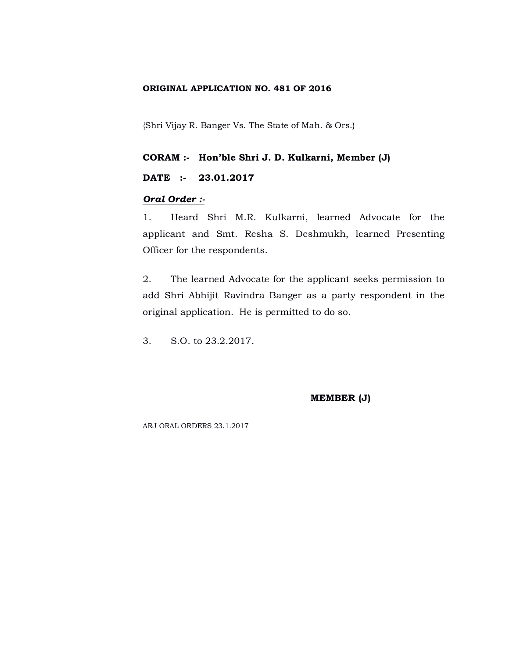## **ORIGINAL APPLICATION NO. 481 OF 2016**

{Shri Vijay R. Banger Vs. The State of Mah. & Ors.}

#### **CORAM :- Hon'ble Shri J. D. Kulkarni, Member (J)**

# **DATE :- 23.01.2017**

#### *Oral Order :-*

1. Heard Shri M.R. Kulkarni, learned Advocate for the applicant and Smt. Resha S. Deshmukh, learned Presenting Officer for the respondents.

2. The learned Advocate for the applicant seeks permission to add Shri Abhijit Ravindra Banger as a party respondent in the original application. He is permitted to do so.

3. S.O. to 23.2.2017.

#### **MEMBER (J)**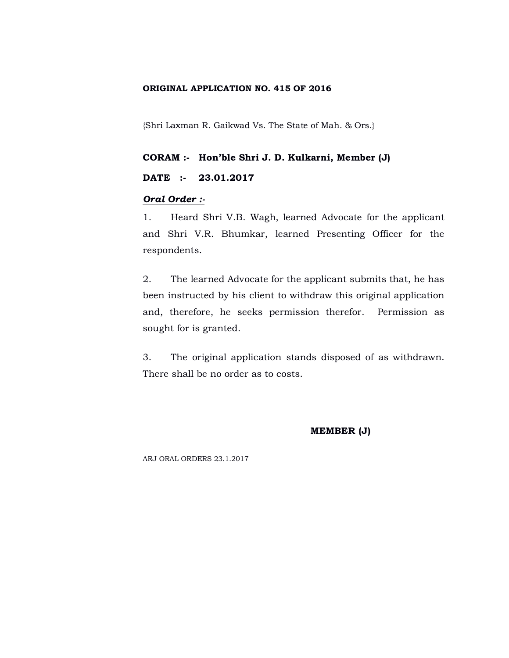## **ORIGINAL APPLICATION NO. 415 OF 2016**

{Shri Laxman R. Gaikwad Vs. The State of Mah. & Ors.}

#### **CORAM :- Hon'ble Shri J. D. Kulkarni, Member (J)**

# **DATE :- 23.01.2017**

#### *Oral Order :-*

1. Heard Shri V.B. Wagh, learned Advocate for the applicant and Shri V.R. Bhumkar, learned Presenting Officer for the respondents.

2. The learned Advocate for the applicant submits that, he has been instructed by his client to withdraw this original application and, therefore, he seeks permission therefor. Permission as sought for is granted.

3. The original application stands disposed of as withdrawn. There shall be no order as to costs.

#### **MEMBER (J)**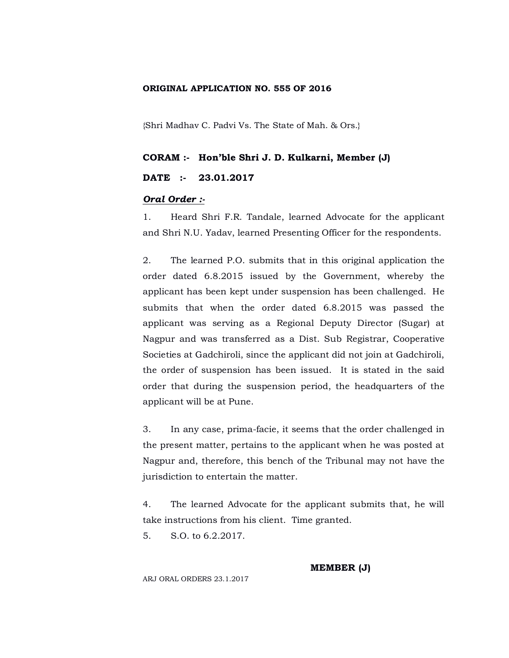## **ORIGINAL APPLICATION NO. 555 OF 2016**

{Shri Madhav C. Padvi Vs. The State of Mah. & Ors.}

#### **CORAM :- Hon'ble Shri J. D. Kulkarni, Member (J)**

### **DATE :- 23.01.2017**

#### *Oral Order :-*

1. Heard Shri F.R. Tandale, learned Advocate for the applicant and Shri N.U. Yadav, learned Presenting Officer for the respondents.

2. The learned P.O. submits that in this original application the order dated 6.8.2015 issued by the Government, whereby the applicant has been kept under suspension has been challenged. He submits that when the order dated 6.8.2015 was passed the applicant was serving as a Regional Deputy Director (Sugar) at Nagpur and was transferred as a Dist. Sub Registrar, Cooperative Societies at Gadchiroli, since the applicant did not join at Gadchiroli, the order of suspension has been issued. It is stated in the said order that during the suspension period, the headquarters of the applicant will be at Pune.

3. In any case, prima-facie, it seems that the order challenged in the present matter, pertains to the applicant when he was posted at Nagpur and, therefore, this bench of the Tribunal may not have the jurisdiction to entertain the matter.

4. The learned Advocate for the applicant submits that, he will take instructions from his client. Time granted.

5. S.O. to 6.2.2017.

**MEMBER (J)**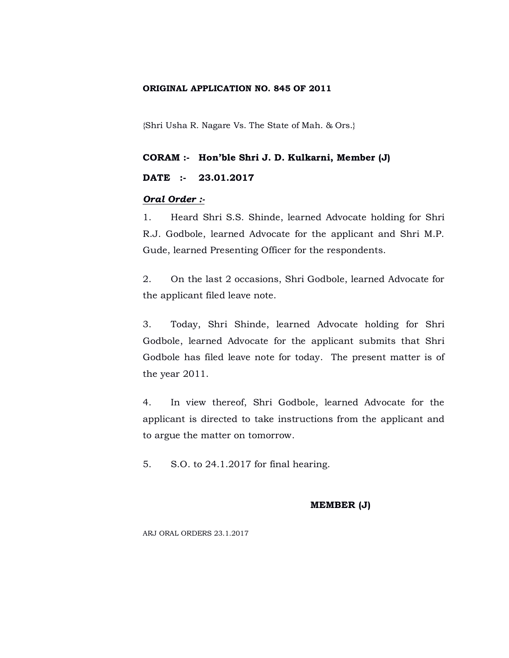## **ORIGINAL APPLICATION NO. 845 OF 2011**

{Shri Usha R. Nagare Vs. The State of Mah. & Ors.}

#### **CORAM :- Hon'ble Shri J. D. Kulkarni, Member (J)**

## **DATE :- 23.01.2017**

#### *Oral Order :-*

1. Heard Shri S.S. Shinde, learned Advocate holding for Shri R.J. Godbole, learned Advocate for the applicant and Shri M.P. Gude, learned Presenting Officer for the respondents.

2. On the last 2 occasions, Shri Godbole, learned Advocate for the applicant filed leave note.

3. Today, Shri Shinde, learned Advocate holding for Shri Godbole, learned Advocate for the applicant submits that Shri Godbole has filed leave note for today. The present matter is of the year 2011.

4. In view thereof, Shri Godbole, learned Advocate for the applicant is directed to take instructions from the applicant and to argue the matter on tomorrow.

5. S.O. to 24.1.2017 for final hearing.

#### **MEMBER (J)**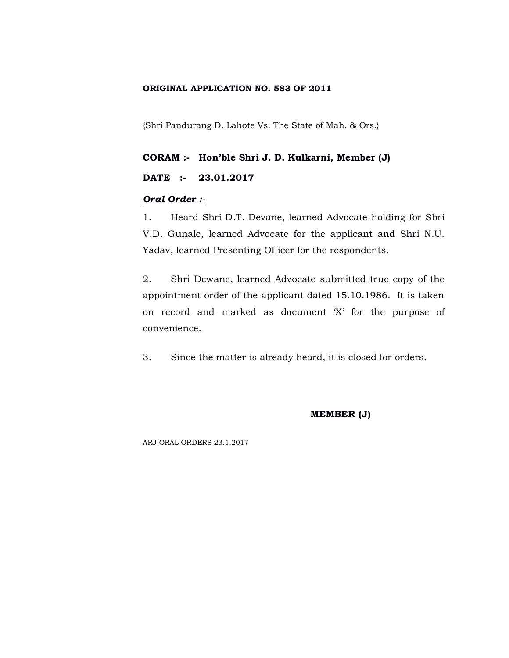## **ORIGINAL APPLICATION NO. 583 OF 2011**

{Shri Pandurang D. Lahote Vs. The State of Mah. & Ors.}

#### **CORAM :- Hon'ble Shri J. D. Kulkarni, Member (J)**

## **DATE :- 23.01.2017**

#### *Oral Order :-*

1. Heard Shri D.T. Devane, learned Advocate holding for Shri V.D. Gunale, learned Advocate for the applicant and Shri N.U. Yadav, learned Presenting Officer for the respondents.

2. Shri Dewane, learned Advocate submitted true copy of the appointment order of the applicant dated 15.10.1986. It is taken on record and marked as document 'X' for the purpose of convenience.

3. Since the matter is already heard, it is closed for orders.

#### **MEMBER (J)**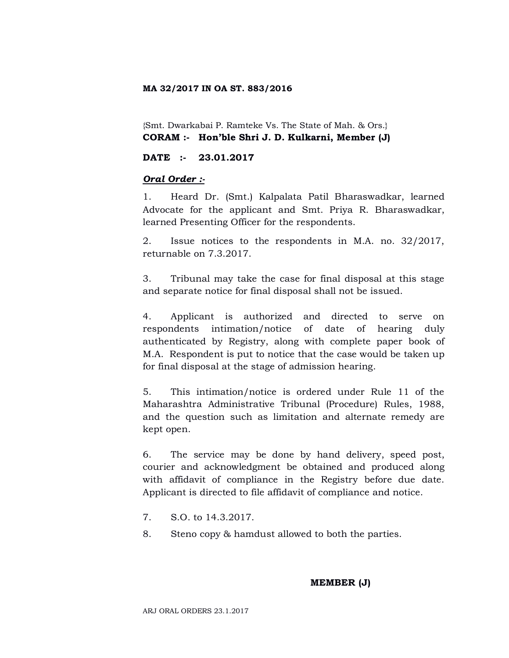## **MA 32/2017 IN OA ST. 883/2016**

{Smt. Dwarkabai P. Ramteke Vs. The State of Mah. & Ors.} **CORAM :- Hon'ble Shri J. D. Kulkarni, Member (J)**

## **DATE :- 23.01.2017**

## *Oral Order :-*

1. Heard Dr. (Smt.) Kalpalata Patil Bharaswadkar, learned Advocate for the applicant and Smt. Priya R. Bharaswadkar, learned Presenting Officer for the respondents.

2. Issue notices to the respondents in M.A. no. 32/2017, returnable on 7.3.2017.

3. Tribunal may take the case for final disposal at this stage and separate notice for final disposal shall not be issued.

4. Applicant is authorized and directed to serve on respondents intimation/notice of date of hearing duly authenticated by Registry, along with complete paper book of M.A. Respondent is put to notice that the case would be taken up for final disposal at the stage of admission hearing.

5. This intimation/notice is ordered under Rule 11 of the Maharashtra Administrative Tribunal (Procedure) Rules, 1988, and the question such as limitation and alternate remedy are kept open.

6. The service may be done by hand delivery, speed post, courier and acknowledgment be obtained and produced along with affidavit of compliance in the Registry before due date. Applicant is directed to file affidavit of compliance and notice.

- 7. S.O. to 14.3.2017.
- 8. Steno copy & hamdust allowed to both the parties.

# **MEMBER (J)**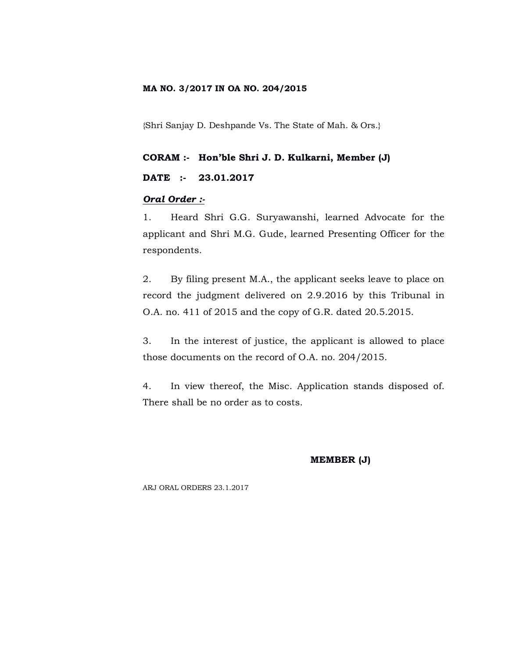## **MA NO. 3/2017 IN OA NO. 204/2015**

{Shri Sanjay D. Deshpande Vs. The State of Mah. & Ors.}

#### **CORAM :- Hon'ble Shri J. D. Kulkarni, Member (J)**

## **DATE :- 23.01.2017**

#### *Oral Order :-*

1. Heard Shri G.G. Suryawanshi, learned Advocate for the applicant and Shri M.G. Gude, learned Presenting Officer for the respondents.

2. By filing present M.A., the applicant seeks leave to place on record the judgment delivered on 2.9.2016 by this Tribunal in O.A. no. 411 of 2015 and the copy of G.R. dated 20.5.2015.

3. In the interest of justice, the applicant is allowed to place those documents on the record of O.A. no. 204/2015.

4. In view thereof, the Misc. Application stands disposed of. There shall be no order as to costs.

#### **MEMBER (J)**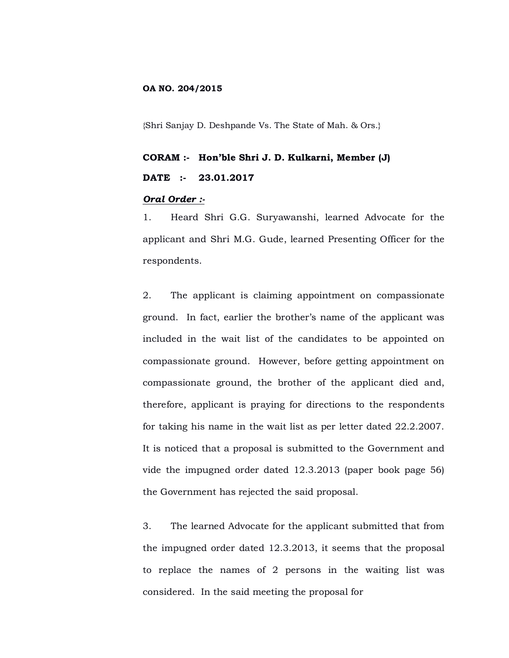## **OA NO. 204/2015**

{Shri Sanjay D. Deshpande Vs. The State of Mah. & Ors.}

# **CORAM :- Hon'ble Shri J. D. Kulkarni, Member (J) DATE :- 23.01.2017**

#### *Oral Order :-*

1. Heard Shri G.G. Suryawanshi, learned Advocate for the applicant and Shri M.G. Gude, learned Presenting Officer for the respondents.

2. The applicant is claiming appointment on compassionate ground. In fact, earlier the brother's name of the applicant was included in the wait list of the candidates to be appointed on compassionate ground. However, before getting appointment on compassionate ground, the brother of the applicant died and, therefore, applicant is praying for directions to the respondents for taking his name in the wait list as per letter dated 22.2.2007. It is noticed that a proposal is submitted to the Government and vide the impugned order dated 12.3.2013 (paper book page 56) the Government has rejected the said proposal.

3. The learned Advocate for the applicant submitted that from the impugned order dated 12.3.2013, it seems that the proposal to replace the names of 2 persons in the waiting list was considered. In the said meeting the proposal for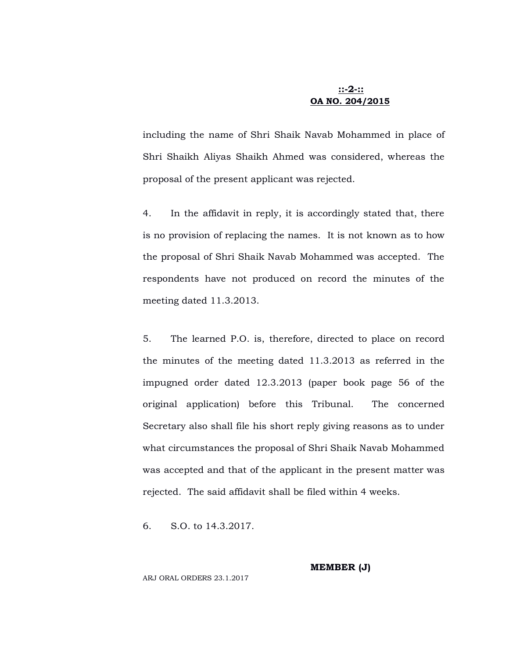# **::-2-:: OA NO. 204/2015**

including the name of Shri Shaik Navab Mohammed in place of Shri Shaikh Aliyas Shaikh Ahmed was considered, whereas the proposal of the present applicant was rejected.

4. In the affidavit in reply, it is accordingly stated that, there is no provision of replacing the names. It is not known as to how the proposal of Shri Shaik Navab Mohammed was accepted. The respondents have not produced on record the minutes of the meeting dated 11.3.2013.

5. The learned P.O. is, therefore, directed to place on record the minutes of the meeting dated 11.3.2013 as referred in the impugned order dated 12.3.2013 (paper book page 56 of the original application) before this Tribunal. The concerned Secretary also shall file his short reply giving reasons as to under what circumstances the proposal of Shri Shaik Navab Mohammed was accepted and that of the applicant in the present matter was rejected. The said affidavit shall be filed within 4 weeks.

6. S.O. to 14.3.2017.

**MEMBER (J)**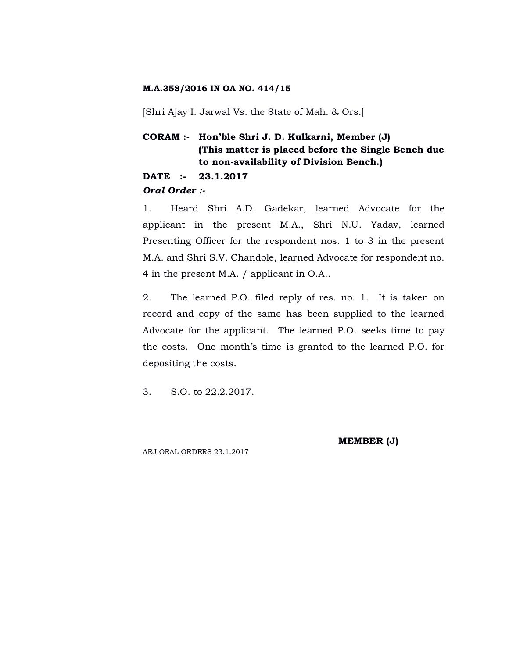#### **M.A.358/2016 IN OA NO. 414/15**

[Shri Ajay I. Jarwal Vs. the State of Mah. & Ors.]

# **CORAM :- Hon'ble Shri J. D. Kulkarni, Member (J) (This matter is placed before the Single Bench due to non-availability of Division Bench.)**

## **DATE :- 23.1.2017**

#### *Oral Order :-*

1. Heard Shri A.D. Gadekar, learned Advocate for the applicant in the present M.A., Shri N.U. Yadav, learned Presenting Officer for the respondent nos. 1 to 3 in the present M.A. and Shri S.V. Chandole, learned Advocate for respondent no. 4 in the present M.A. / applicant in O.A..

2. The learned P.O. filed reply of res. no. 1. It is taken on record and copy of the same has been supplied to the learned Advocate for the applicant. The learned P.O. seeks time to pay the costs. One month's time is granted to the learned P.O. for depositing the costs.

3. S.O. to 22.2.2017.

**MEMBER (J)**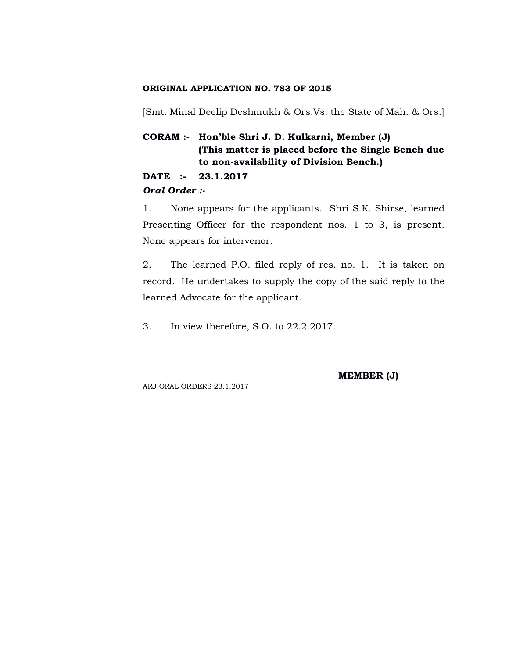## **ORIGINAL APPLICATION NO. 783 OF 2015**

[Smt. Minal Deelip Deshmukh & Ors.Vs. the State of Mah. & Ors.]

# **CORAM :- Hon'ble Shri J. D. Kulkarni, Member (J) (This matter is placed before the Single Bench due to non-availability of Division Bench.)**

# **DATE :- 23.1.2017**

## *Oral Order :-*

1. None appears for the applicants. Shri S.K. Shirse, learned Presenting Officer for the respondent nos. 1 to 3, is present. None appears for intervenor.

2. The learned P.O. filed reply of res. no. 1. It is taken on record. He undertakes to supply the copy of the said reply to the learned Advocate for the applicant.

3. In view therefore, S.O. to 22.2.2017.

**MEMBER (J)**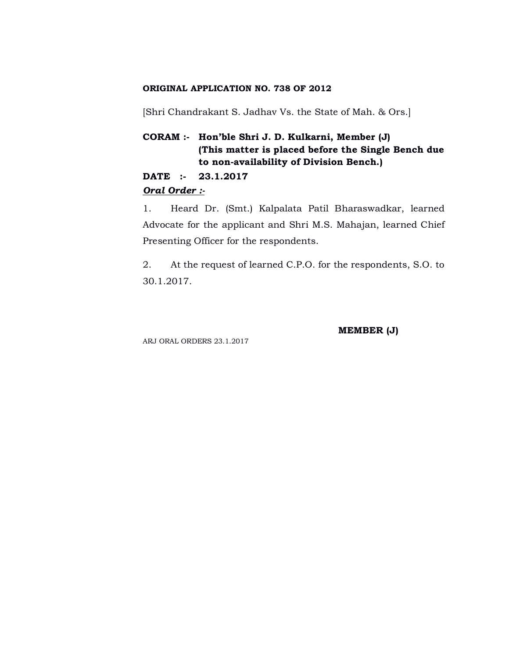## **ORIGINAL APPLICATION NO. 738 OF 2012**

[Shri Chandrakant S. Jadhav Vs. the State of Mah. & Ors.]

# **CORAM :- Hon'ble Shri J. D. Kulkarni, Member (J) (This matter is placed before the Single Bench due to non-availability of Division Bench.)**

## **DATE :- 23.1.2017**

## *Oral Order :-*

1. Heard Dr. (Smt.) Kalpalata Patil Bharaswadkar, learned Advocate for the applicant and Shri M.S. Mahajan, learned Chief Presenting Officer for the respondents.

2. At the request of learned C.P.O. for the respondents, S.O. to 30.1.2017.

**MEMBER (J)**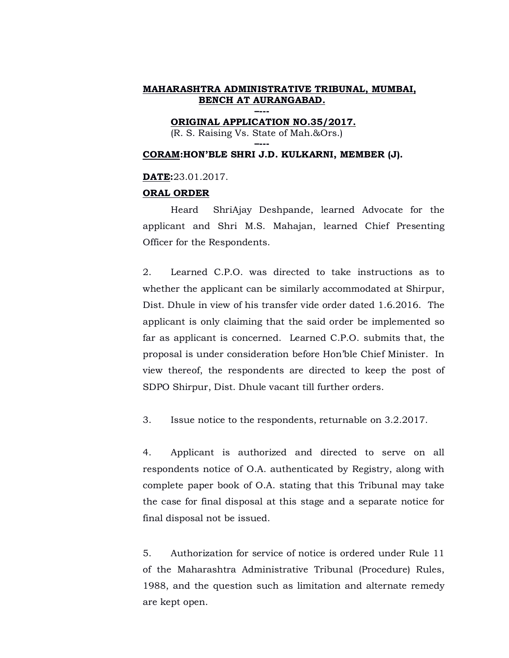**ORIGINAL APPLICATION NO.35/2017.** (R. S. Raising Vs. State of Mah.&Ors.)

**–---**

## **CORAM:HON'BLE SHRI J.D. KULKARNI, MEMBER (J).**

#### **DATE:**23.01.2017.

#### **ORAL ORDER**

Heard ShriAjay Deshpande, learned Advocate for the applicant and Shri M.S. Mahajan, learned Chief Presenting Officer for the Respondents.

2. Learned C.P.O. was directed to take instructions as to whether the applicant can be similarly accommodated at Shirpur, Dist. Dhule in view of his transfer vide order dated 1.6.2016. The applicant is only claiming that the said order be implemented so far as applicant is concerned. Learned C.P.O. submits that, the proposal is under consideration before Hon'ble Chief Minister. In view thereof, the respondents are directed to keep the post of SDPO Shirpur, Dist. Dhule vacant till further orders.

3. Issue notice to the respondents, returnable on 3.2.2017.

4. Applicant is authorized and directed to serve on all respondents notice of O.A. authenticated by Registry, along with complete paper book of O.A. stating that this Tribunal may take the case for final disposal at this stage and a separate notice for final disposal not be issued.

5. Authorization for service of notice is ordered under Rule 11 of the Maharashtra Administrative Tribunal (Procedure) Rules, 1988, and the question such as limitation and alternate remedy are kept open.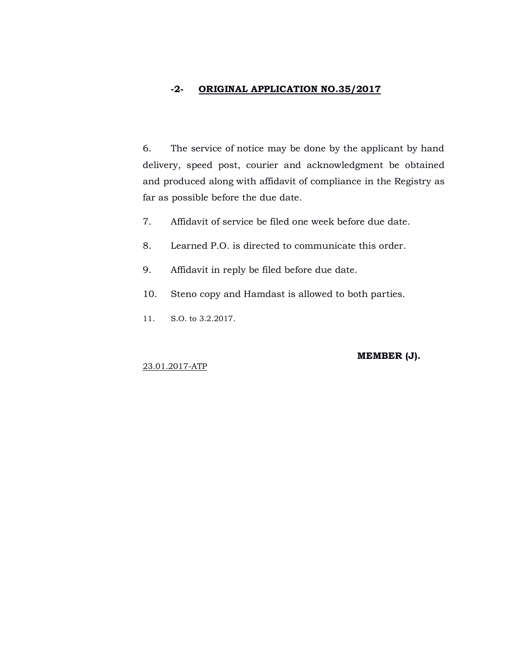# **-2- ORIGINAL APPLICATION NO.35/2017**

6. The service of notice may be done by the applicant by hand delivery, speed post, courier and acknowledgment be obtained and produced along with affidavit of compliance in the Registry as far as possible before the due date.

- 7. Affidavit of service be filed one week before due date.
- 8. Learned P.O. is directed to communicate this order.
- 9. Affidavit in reply be filed before due date.
- 10. Steno copy and Hamdast is allowed to both parties.
- 11. S.O. to 3.2.2017.

#### **MEMBER (J).**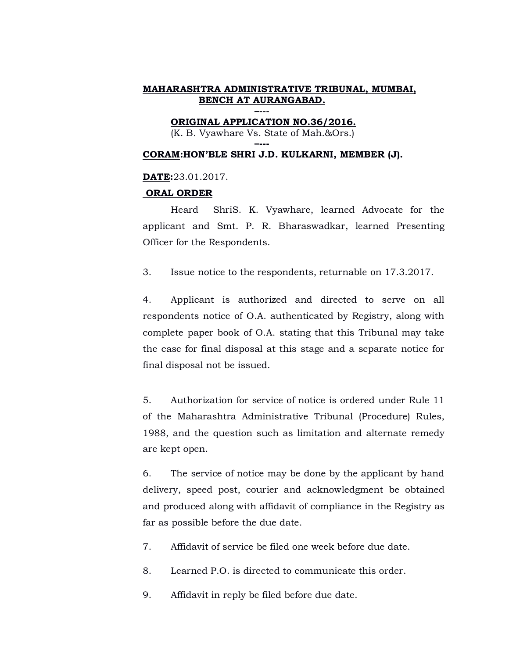**ORIGINAL APPLICATION NO.36/2016.**

(K. B. Vyawhare Vs. State of Mah.&Ors.) **–---**

## **CORAM:HON'BLE SHRI J.D. KULKARNI, MEMBER (J).**

#### **DATE:**23.01.2017.

#### **ORAL ORDER**

Heard ShriS. K. Vyawhare, learned Advocate for the applicant and Smt. P. R. Bharaswadkar, learned Presenting Officer for the Respondents.

3. Issue notice to the respondents, returnable on 17.3.2017.

4. Applicant is authorized and directed to serve on all respondents notice of O.A. authenticated by Registry, along with complete paper book of O.A. stating that this Tribunal may take the case for final disposal at this stage and a separate notice for final disposal not be issued.

5. Authorization for service of notice is ordered under Rule 11 of the Maharashtra Administrative Tribunal (Procedure) Rules, 1988, and the question such as limitation and alternate remedy are kept open.

6. The service of notice may be done by the applicant by hand delivery, speed post, courier and acknowledgment be obtained and produced along with affidavit of compliance in the Registry as far as possible before the due date.

7. Affidavit of service be filed one week before due date.

8. Learned P.O. is directed to communicate this order.

9. Affidavit in reply be filed before due date.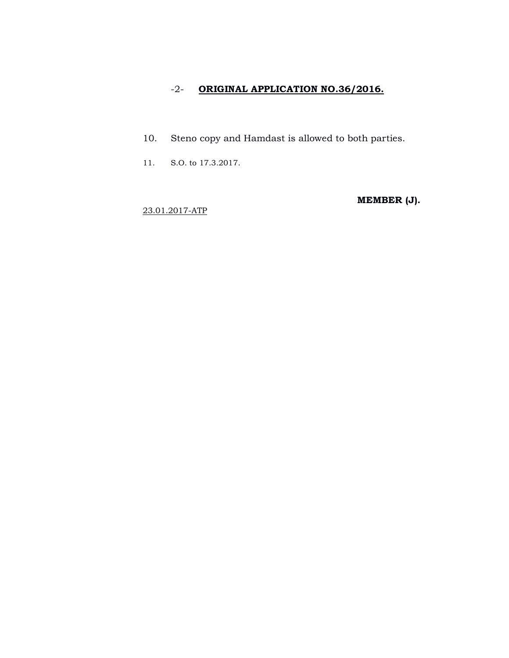# -2- **ORIGINAL APPLICATION NO.36/2016.**

- 10. Steno copy and Hamdast is allowed to both parties.
- 11. S.O. to 17.3.2017.

**MEMBER (J).**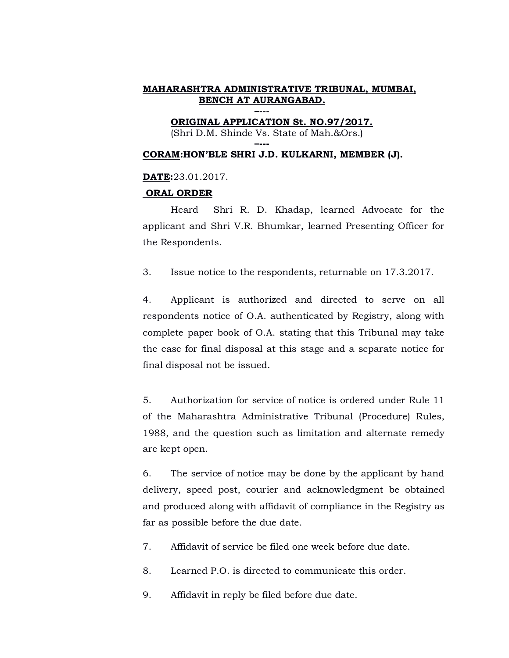**ORIGINAL APPLICATION St. NO.97/2017.** (Shri D.M. Shinde Vs. State of Mah.&Ors.)

**–--- CORAM:HON'BLE SHRI J.D. KULKARNI, MEMBER (J).**

# **DATE:**23.01.2017.

## **ORAL ORDER**

Heard Shri R. D. Khadap, learned Advocate for the applicant and Shri V.R. Bhumkar, learned Presenting Officer for the Respondents.

3. Issue notice to the respondents, returnable on 17.3.2017.

4. Applicant is authorized and directed to serve on all respondents notice of O.A. authenticated by Registry, along with complete paper book of O.A. stating that this Tribunal may take the case for final disposal at this stage and a separate notice for final disposal not be issued.

5. Authorization for service of notice is ordered under Rule 11 of the Maharashtra Administrative Tribunal (Procedure) Rules, 1988, and the question such as limitation and alternate remedy are kept open.

6. The service of notice may be done by the applicant by hand delivery, speed post, courier and acknowledgment be obtained and produced along with affidavit of compliance in the Registry as far as possible before the due date.

7. Affidavit of service be filed one week before due date.

8. Learned P.O. is directed to communicate this order.

9. Affidavit in reply be filed before due date.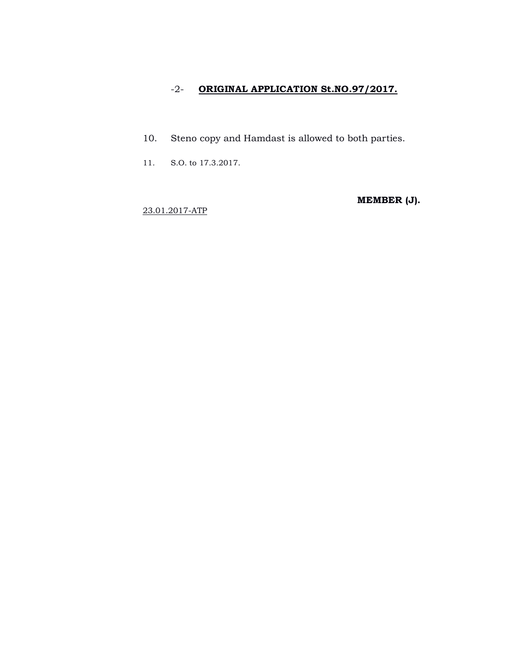# -2- **ORIGINAL APPLICATION St.NO.97/2017.**

- 10. Steno copy and Hamdast is allowed to both parties.
- 11. S.O. to 17.3.2017.

**MEMBER (J).**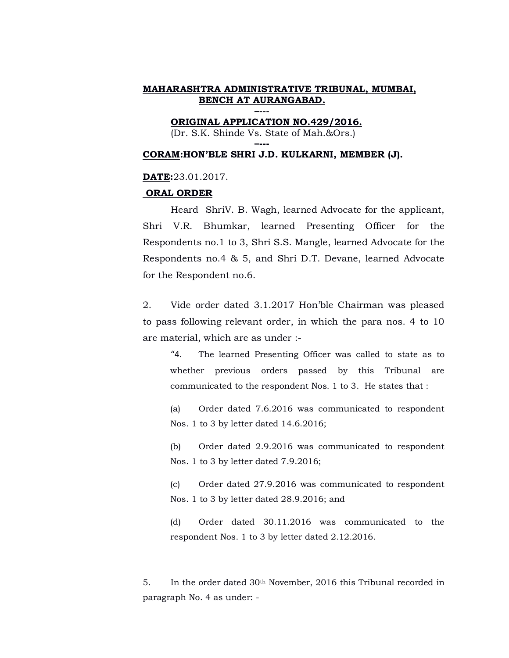**ORIGINAL APPLICATION NO.429/2016.** (Dr. S.K. Shinde Vs. State of Mah.&Ors.)

**–---**

**–---**

#### **CORAM:HON'BLE SHRI J.D. KULKARNI, MEMBER (J).**

#### **DATE:**23.01.2017.

#### **ORAL ORDER**

Heard ShriV. B. Wagh, learned Advocate for the applicant, Shri V.R. Bhumkar, learned Presenting Officer for the Respondents no.1 to 3, Shri S.S. Mangle, learned Advocate for the Respondents no.4 & 5, and Shri D.T. Devane, learned Advocate for the Respondent no.6.

2. Vide order dated 3.1.2017 Hon'ble Chairman was pleased to pass following relevant order, in which the para nos. 4 to 10 are material, which are as under :-

"4. The learned Presenting Officer was called to state as to whether previous orders passed by this Tribunal are communicated to the respondent Nos. 1 to 3. He states that :

(a) Order dated 7.6.2016 was communicated to respondent Nos. 1 to 3 by letter dated 14.6.2016;

(b) Order dated 2.9.2016 was communicated to respondent Nos. 1 to 3 by letter dated 7.9.2016;

(c) Order dated 27.9.2016 was communicated to respondent Nos. 1 to 3 by letter dated 28.9.2016; and

(d) Order dated 30.11.2016 was communicated to the respondent Nos. 1 to 3 by letter dated 2.12.2016.

5. In the order dated  $30<sup>th</sup>$  November, 2016 this Tribunal recorded in paragraph No. 4 as under: -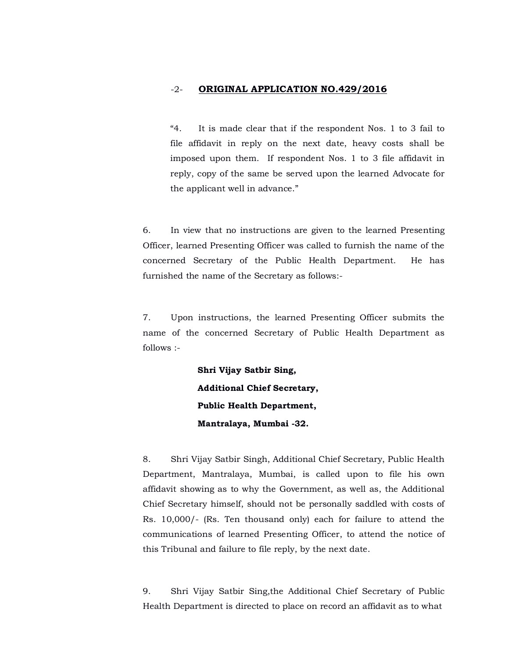# -2- **ORIGINAL APPLICATION NO.429/2016**

"4. It is made clear that if the respondent Nos. 1 to 3 fail to file affidavit in reply on the next date, heavy costs shall be imposed upon them. If respondent Nos. 1 to 3 file affidavit in reply, copy of the same be served upon the learned Advocate for the applicant well in advance."

6. In view that no instructions are given to the learned Presenting Officer, learned Presenting Officer was called to furnish the name of the concerned Secretary of the Public Health Department. He has furnished the name of the Secretary as follows:-

7. Upon instructions, the learned Presenting Officer submits the name of the concerned Secretary of Public Health Department as follows :-

> **Shri Vijay Satbir Sing, Additional Chief Secretary, Public Health Department, Mantralaya, Mumbai -32.**

8. Shri Vijay Satbir Singh, Additional Chief Secretary, Public Health Department, Mantralaya, Mumbai, is called upon to file his own affidavit showing as to why the Government, as well as, the Additional Chief Secretary himself, should not be personally saddled with costs of Rs. 10,000/- (Rs. Ten thousand only) each for failure to attend the communications of learned Presenting Officer, to attend the notice of this Tribunal and failure to file reply, by the next date.

9. Shri Vijay Satbir Sing,the Additional Chief Secretary of Public Health Department is directed to place on record an affidavit as to what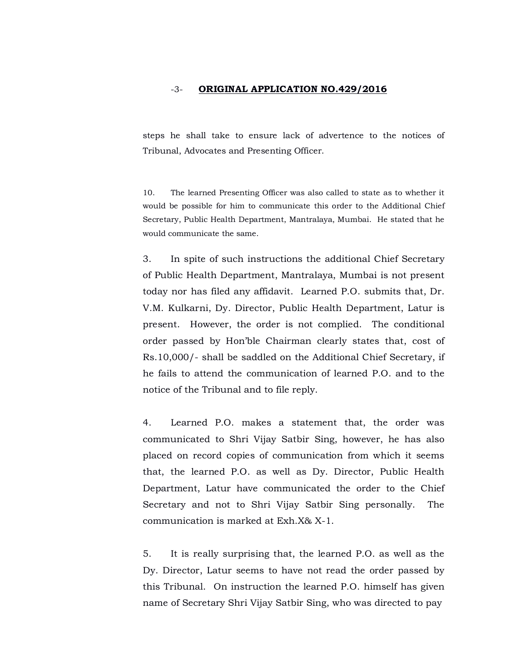#### -3- **ORIGINAL APPLICATION NO.429/2016**

steps he shall take to ensure lack of advertence to the notices of Tribunal, Advocates and Presenting Officer.

10. The learned Presenting Officer was also called to state as to whether it would be possible for him to communicate this order to the Additional Chief Secretary, Public Health Department, Mantralaya, Mumbai. He stated that he would communicate the same.

3. In spite of such instructions the additional Chief Secretary of Public Health Department, Mantralaya, Mumbai is not present today nor has filed any affidavit. Learned P.O. submits that, Dr. V.M. Kulkarni, Dy. Director, Public Health Department, Latur is present. However, the order is not complied. The conditional order passed by Hon'ble Chairman clearly states that, cost of Rs.10,000/- shall be saddled on the Additional Chief Secretary, if he fails to attend the communication of learned P.O. and to the notice of the Tribunal and to file reply.

4. Learned P.O. makes a statement that, the order was communicated to Shri Vijay Satbir Sing, however, he has also placed on record copies of communication from which it seems that, the learned P.O. as well as Dy. Director, Public Health Department, Latur have communicated the order to the Chief Secretary and not to Shri Vijay Satbir Sing personally. The communication is marked at Exh.X& X-1.

5. It is really surprising that, the learned P.O. as well as the Dy. Director, Latur seems to have not read the order passed by this Tribunal. On instruction the learned P.O. himself has given name of Secretary Shri Vijay Satbir Sing, who was directed to pay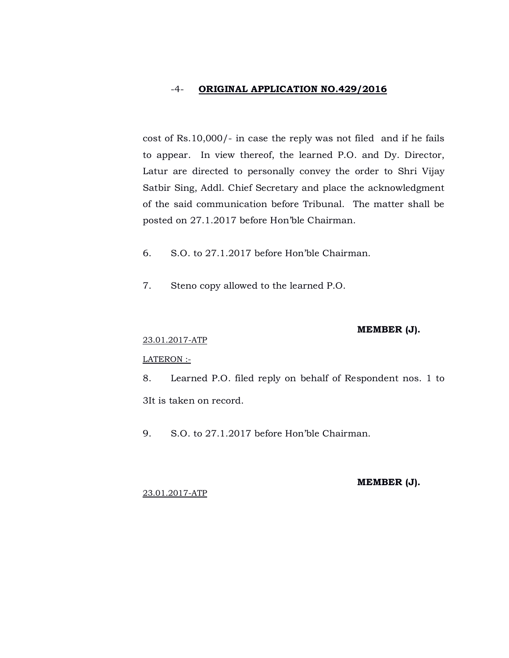## -4- **ORIGINAL APPLICATION NO.429/2016**

cost of Rs.10,000/- in case the reply was not filed and if he fails to appear. In view thereof, the learned P.O. and Dy. Director, Latur are directed to personally convey the order to Shri Vijay Satbir Sing, Addl. Chief Secretary and place the acknowledgment of the said communication before Tribunal. The matter shall be posted on 27.1.2017 before Hon'ble Chairman.

- 6. S.O. to 27.1.2017 before Hon'ble Chairman.
- 7. Steno copy allowed to the learned P.O.

## **MEMBER (J).**

# 23.01.2017-ATP

#### LATERON :-

8. Learned P.O. filed reply on behalf of Respondent nos. 1 to 3It is taken on record.

9. S.O. to 27.1.2017 before Hon'ble Chairman.

#### **MEMBER (J).**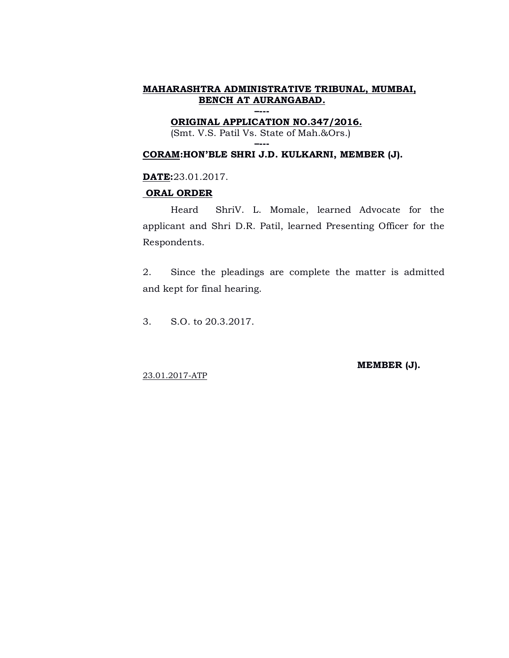**–--- ORIGINAL APPLICATION NO.347/2016.** (Smt. V.S. Patil Vs. State of Mah.&Ors.)

**–---**

## **CORAM:HON'BLE SHRI J.D. KULKARNI, MEMBER (J).**

**DATE:**23.01.2017.

#### **ORAL ORDER**

Heard ShriV. L. Momale, learned Advocate for the applicant and Shri D.R. Patil, learned Presenting Officer for the Respondents.

2. Since the pleadings are complete the matter is admitted and kept for final hearing.

3. S.O. to 20.3.2017.

**MEMBER (J).**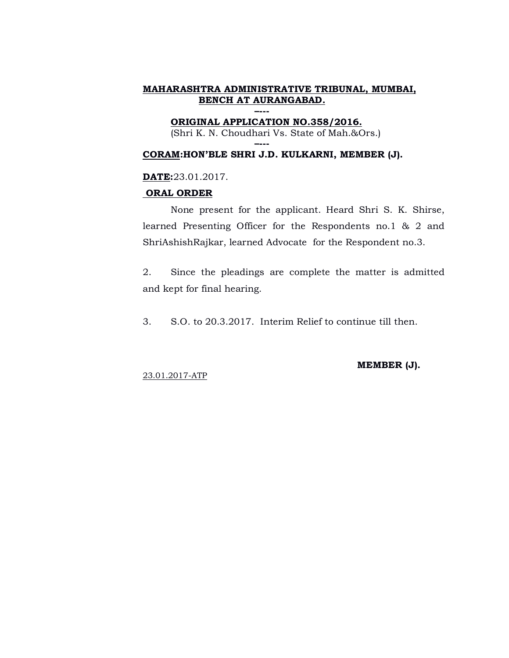## **–--- ORIGINAL APPLICATION NO.358/2016.**

**–---**

(Shri K. N. Choudhari Vs. State of Mah.&Ors.)

## **CORAM:HON'BLE SHRI J.D. KULKARNI, MEMBER (J).**

## **DATE:**23.01.2017.

#### **ORAL ORDER**

None present for the applicant. Heard Shri S. K. Shirse, learned Presenting Officer for the Respondents no.1 & 2 and ShriAshishRajkar, learned Advocate for the Respondent no.3.

2. Since the pleadings are complete the matter is admitted and kept for final hearing.

3. S.O. to 20.3.2017. Interim Relief to continue till then.

23.01.2017-ATP

#### **MEMBER (J).**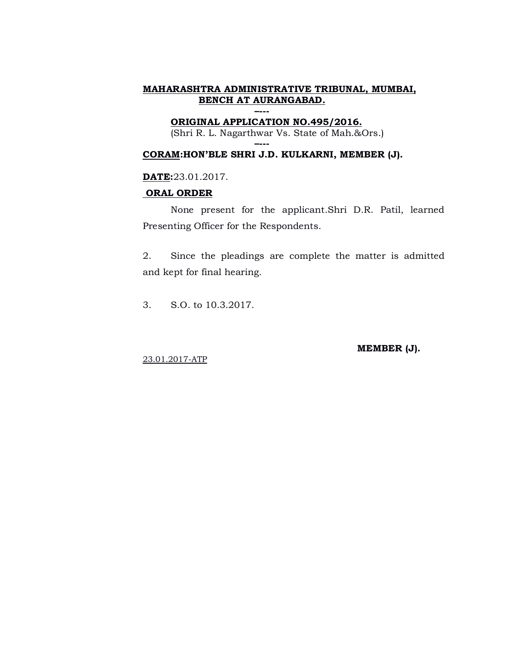#### **–--- ORIGINAL APPLICATION NO.495/2016.**

**–---**

(Shri R. L. Nagarthwar Vs. State of Mah.&Ors.)

# **CORAM:HON'BLE SHRI J.D. KULKARNI, MEMBER (J).**

**DATE:**23.01.2017.

## **ORAL ORDER**

None present for the applicant.Shri D.R. Patil, learned Presenting Officer for the Respondents.

2. Since the pleadings are complete the matter is admitted and kept for final hearing.

3. S.O. to 10.3.2017.

**MEMBER (J).**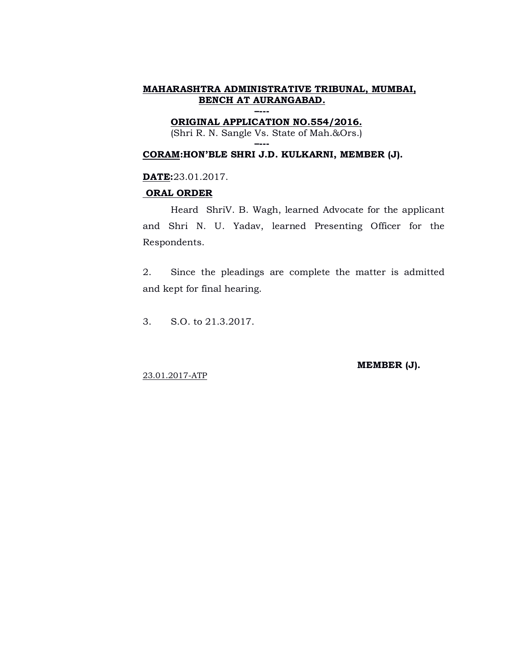**–--- ORIGINAL APPLICATION NO.554/2016.**

(Shri R. N. Sangle Vs. State of Mah.&Ors.)

### **–--- CORAM:HON'BLE SHRI J.D. KULKARNI, MEMBER (J).**

# **DATE:**23.01.2017.

## **ORAL ORDER**

Heard ShriV. B. Wagh, learned Advocate for the applicant and Shri N. U. Yadav, learned Presenting Officer for the Respondents.

2. Since the pleadings are complete the matter is admitted and kept for final hearing.

3. S.O. to 21.3.2017.

**MEMBER (J).**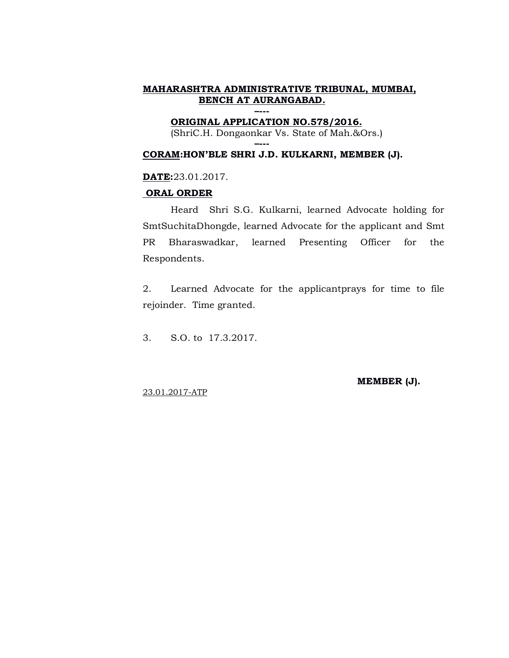#### **–--- ORIGINAL APPLICATION NO.578/2016.**

**–---**

(ShriC.H. Dongaonkar Vs. State of Mah.&Ors.)

# **CORAM:HON'BLE SHRI J.D. KULKARNI, MEMBER (J).**

## **DATE:**23.01.2017.

## **ORAL ORDER**

Heard Shri S.G. Kulkarni, learned Advocate holding for SmtSuchitaDhongde, learned Advocate for the applicant and Smt PR Bharaswadkar, learned Presenting Officer for the Respondents.

2. Learned Advocate for the applicantprays for time to file rejoinder. Time granted.

3. S.O. to 17.3.2017.

**MEMBER (J).**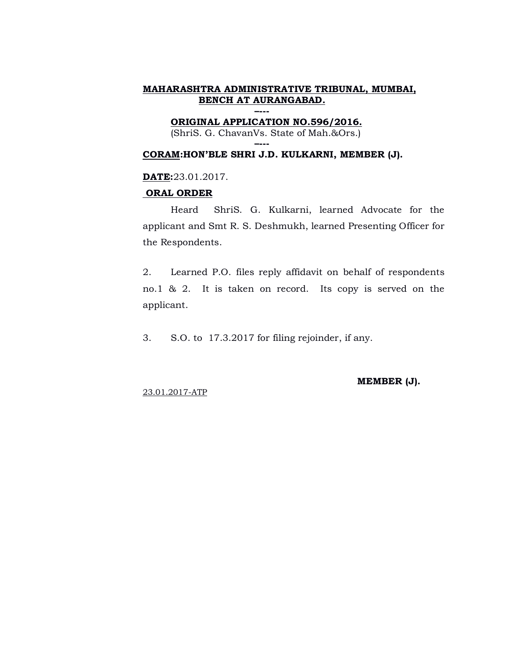**–--- ORIGINAL APPLICATION NO.596/2016.**

(ShriS. G. ChavanVs. State of Mah.&Ors.)

### **–--- CORAM:HON'BLE SHRI J.D. KULKARNI, MEMBER (J).**

# **DATE:**23.01.2017.

## **ORAL ORDER**

Heard ShriS. G. Kulkarni, learned Advocate for the applicant and Smt R. S. Deshmukh, learned Presenting Officer for the Respondents.

2. Learned P.O. files reply affidavit on behalf of respondents no.1 & 2. It is taken on record. Its copy is served on the applicant.

3. S.O. to 17.3.2017 for filing rejoinder, if any.

**MEMBER (J).**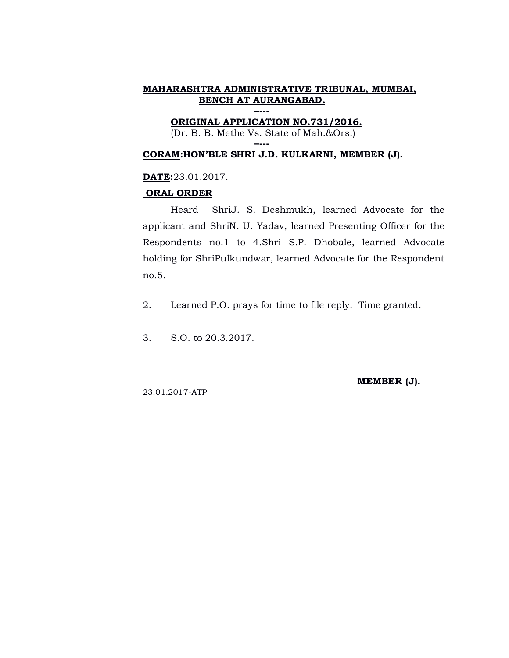**–--- ORIGINAL APPLICATION NO.731/2016.** (Dr. B. B. Methe Vs. State of Mah.&Ors.)

**–---**

# **CORAM:HON'BLE SHRI J.D. KULKARNI, MEMBER (J).**

# **DATE:**23.01.2017.

#### **ORAL ORDER**

Heard ShriJ. S. Deshmukh, learned Advocate for the applicant and ShriN. U. Yadav, learned Presenting Officer for the Respondents no.1 to 4.Shri S.P. Dhobale, learned Advocate holding for ShriPulkundwar, learned Advocate for the Respondent no.5.

- 2. Learned P.O. prays for time to file reply. Time granted.
- 3. S.O. to 20.3.2017.

**MEMBER (J).**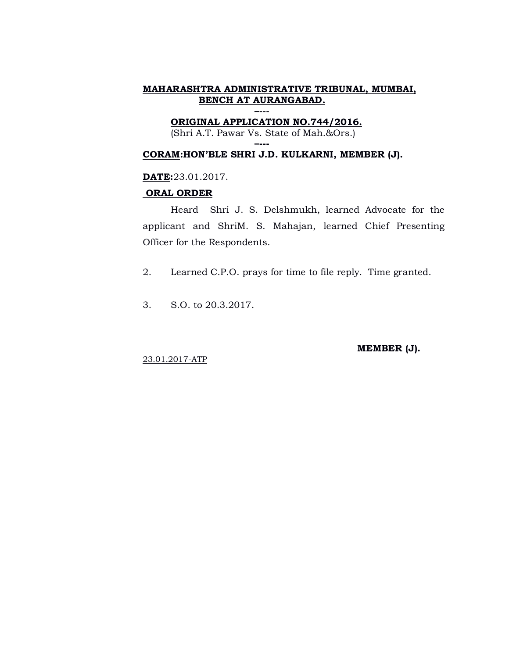**–--- ORIGINAL APPLICATION NO.744/2016.** (Shri A.T. Pawar Vs. State of Mah.&Ors.)

**–---**

# **CORAM:HON'BLE SHRI J.D. KULKARNI, MEMBER (J).**

## **DATE:**23.01.2017.

## **ORAL ORDER**

Heard Shri J. S. Delshmukh, learned Advocate for the applicant and ShriM. S. Mahajan, learned Chief Presenting Officer for the Respondents.

2. Learned C.P.O. prays for time to file reply. Time granted.

3. S.O. to 20.3.2017.

**MEMBER (J).**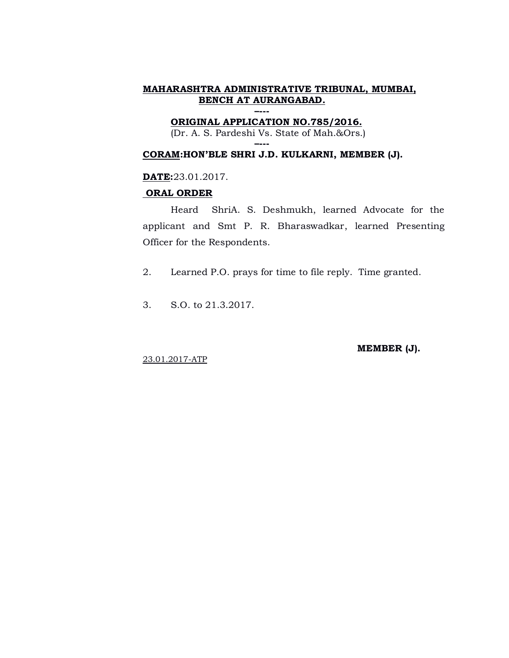## **–--- ORIGINAL APPLICATION NO.785/2016.**

(Dr. A. S. Pardeshi Vs. State of Mah.&Ors.)

**–---**

# **CORAM:HON'BLE SHRI J.D. KULKARNI, MEMBER (J).**

## **DATE:**23.01.2017.

#### **ORAL ORDER**

Heard ShriA. S. Deshmukh, learned Advocate for the applicant and Smt P. R. Bharaswadkar, learned Presenting Officer for the Respondents.

2. Learned P.O. prays for time to file reply. Time granted.

3. S.O. to 21.3.2017.

**MEMBER (J).**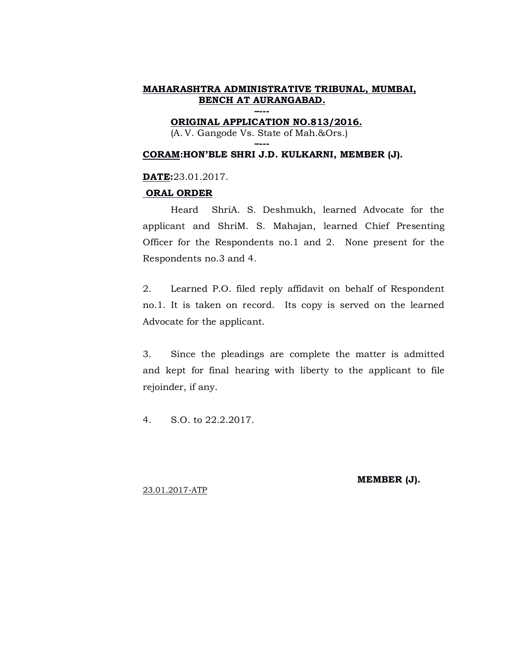**–--- ORIGINAL APPLICATION NO.813/2016.**

(A. V. Gangode Vs. State of Mah.&Ors.) **–---**

#### **CORAM:HON'BLE SHRI J.D. KULKARNI, MEMBER (J).**

#### **DATE:**23.01.2017.

#### **ORAL ORDER**

Heard ShriA. S. Deshmukh, learned Advocate for the applicant and ShriM. S. Mahajan, learned Chief Presenting Officer for the Respondents no.1 and 2. None present for the Respondents no.3 and 4.

2. Learned P.O. filed reply affidavit on behalf of Respondent no.1. It is taken on record. Its copy is served on the learned Advocate for the applicant.

3. Since the pleadings are complete the matter is admitted and kept for final hearing with liberty to the applicant to file rejoinder, if any.

4. S.O. to 22.2.2017.

**MEMBER (J).**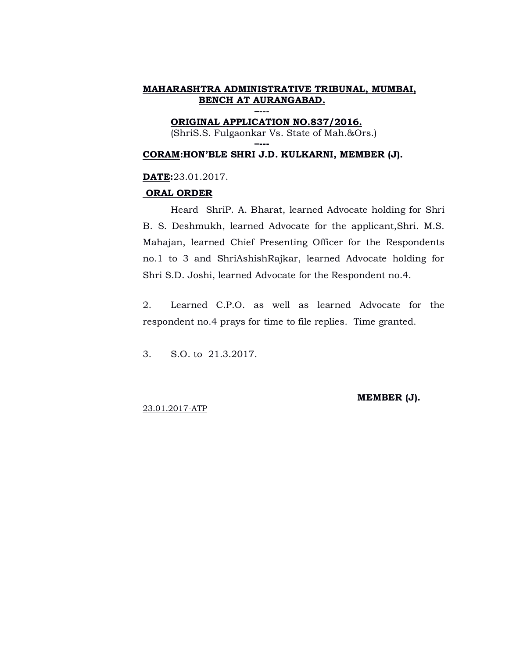#### **–--- ORIGINAL APPLICATION NO.837/2016.**

**–---**

(ShriS.S. Fulgaonkar Vs. State of Mah.&Ors.)

#### **CORAM:HON'BLE SHRI J.D. KULKARNI, MEMBER (J).**

#### **DATE:**23.01.2017.

#### **ORAL ORDER**

Heard ShriP. A. Bharat, learned Advocate holding for Shri B. S. Deshmukh, learned Advocate for the applicant,Shri. M.S. Mahajan, learned Chief Presenting Officer for the Respondents no.1 to 3 and ShriAshishRajkar, learned Advocate holding for Shri S.D. Joshi, learned Advocate for the Respondent no.4.

2. Learned C.P.O. as well as learned Advocate for the respondent no.4 prays for time to file replies. Time granted.

3. S.O. to 21.3.2017.

**MEMBER (J).**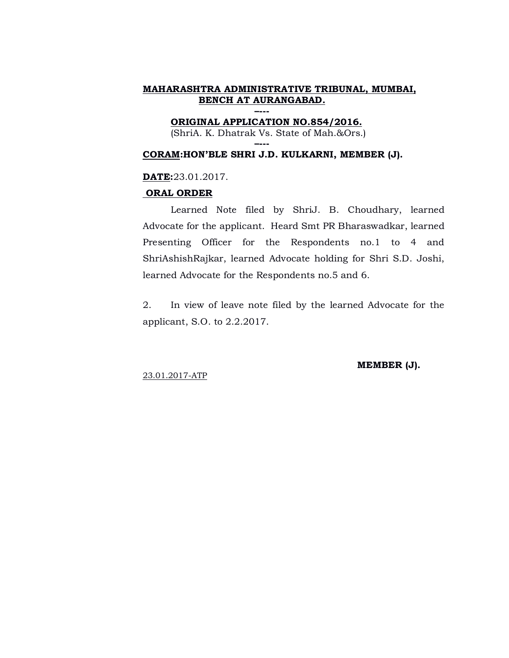**–--- ORIGINAL APPLICATION NO.854/2016.**

(ShriA. K. Dhatrak Vs. State of Mah.&Ors.)

## **–--- CORAM:HON'BLE SHRI J.D. KULKARNI, MEMBER (J).**

# **DATE:**23.01.2017.

## **ORAL ORDER**

Learned Note filed by ShriJ. B. Choudhary, learned Advocate for the applicant. Heard Smt PR Bharaswadkar, learned Presenting Officer for the Respondents no.1 to 4 and ShriAshishRajkar, learned Advocate holding for Shri S.D. Joshi, learned Advocate for the Respondents no.5 and 6.

2. In view of leave note filed by the learned Advocate for the applicant, S.O. to 2.2.2017.

23.01.2017-ATP

## **MEMBER (J).**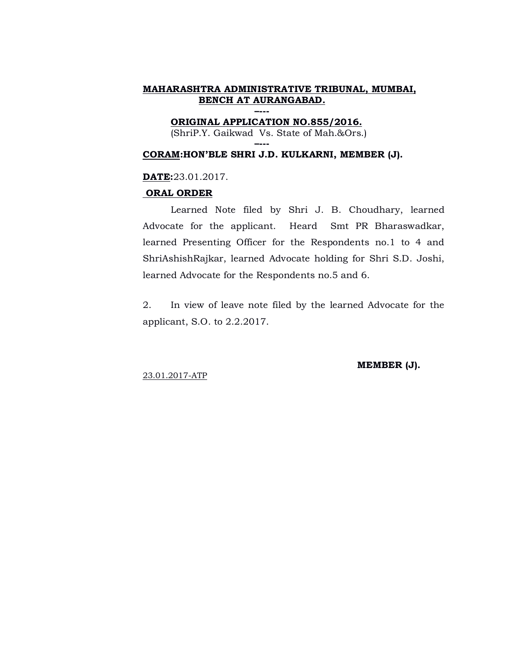**–--- ORIGINAL APPLICATION NO.855/2016.**

(ShriP.Y. Gaikwad Vs. State of Mah.&Ors.)

### **–--- CORAM:HON'BLE SHRI J.D. KULKARNI, MEMBER (J).**

# **DATE:**23.01.2017.

## **ORAL ORDER**

Learned Note filed by Shri J. B. Choudhary, learned Advocate for the applicant. Heard Smt PR Bharaswadkar, learned Presenting Officer for the Respondents no.1 to 4 and ShriAshishRajkar, learned Advocate holding for Shri S.D. Joshi, learned Advocate for the Respondents no.5 and 6.

2. In view of leave note filed by the learned Advocate for the applicant, S.O. to 2.2.2017.

23.01.2017-ATP

## **MEMBER (J).**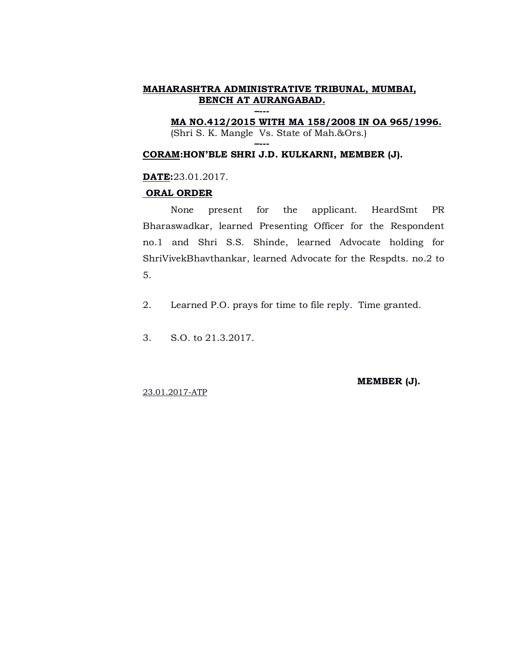**–--- MA NO.412/2015 WITH MA 158/2008 IN OA 965/1996.** (Shri S. K. Mangle Vs. State of Mah.&Ors.)

# **CORAM:HON'BLE SHRI J.D. KULKARNI, MEMBER (J).**

**–---**

## **DATE:**23.01.2017.

#### **ORAL ORDER**

None present for the applicant. HeardSmt PR Bharaswadkar, learned Presenting Officer for the Respondent no.1 and Shri S.S. Shinde, learned Advocate holding for ShriVivekBhavthankar, learned Advocate for the Respdts. no.2 to 5.

2. Learned P.O. prays for time to file reply. Time granted.

3. S.O. to 21.3.2017.

**MEMBER (J).**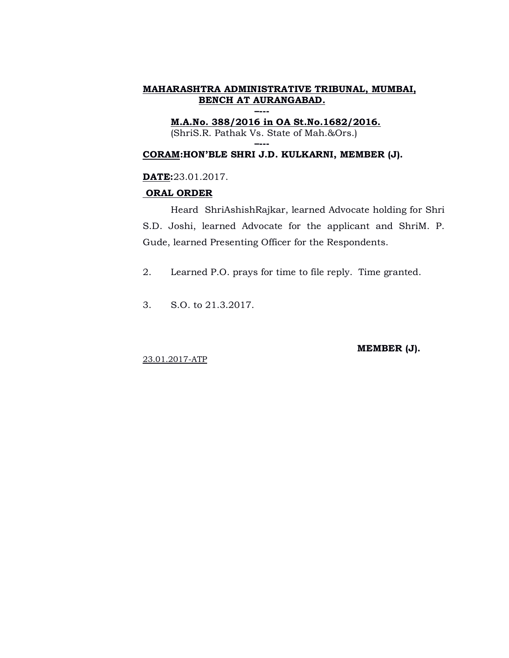**–--- M.A.No. 388/2016 in OA St.No.1682/2016.** (ShriS.R. Pathak Vs. State of Mah.&Ors.)

# **CORAM:HON'BLE SHRI J.D. KULKARNI, MEMBER (J).**

**–---**

## **DATE:**23.01.2017.

#### **ORAL ORDER**

Heard ShriAshishRajkar, learned Advocate holding for Shri S.D. Joshi, learned Advocate for the applicant and ShriM. P. Gude, learned Presenting Officer for the Respondents.

2. Learned P.O. prays for time to file reply. Time granted.

3. S.O. to 21.3.2017.

**MEMBER (J).**